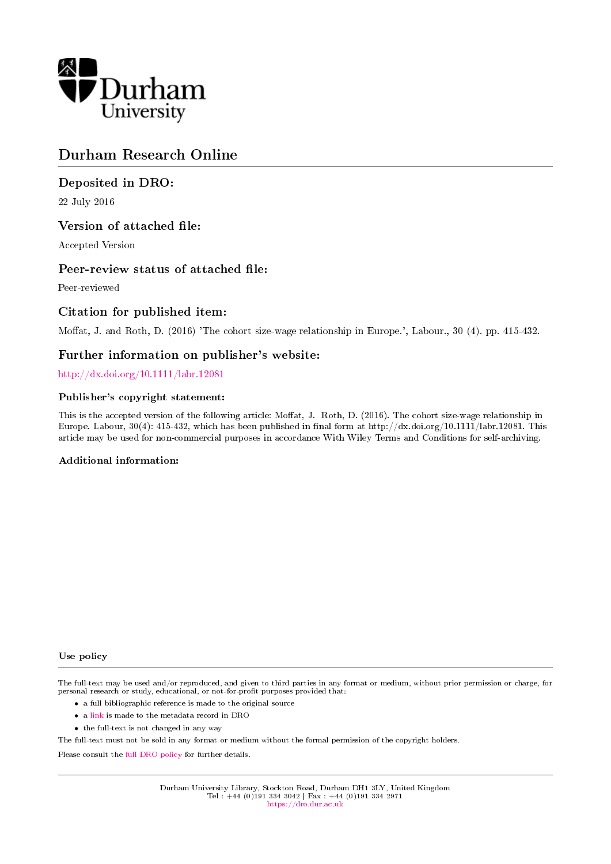

## Durham Research Online

### Deposited in DRO:

22 July 2016

### Version of attached file:

Accepted Version

#### Peer-review status of attached file:

Peer-reviewed

#### Citation for published item:

Moffat, J. and Roth, D. (2016) 'The cohort size-wage relationship in Europe.', Labour., 30 (4). pp. 415-432.

#### Further information on publisher's website:

<http://dx.doi.org/10.1111/labr.12081>

#### Publisher's copyright statement:

This is the accepted version of the following article: Moffat, J. Roth, D. (2016). The cohort size-wage relationship in Europe. Labour, 30(4): 415-432, which has been published in final form at http://dx.doi.org/10.1111/labr.12081. This article may be used for non-commercial purposes in accordance With Wiley Terms and Conditions for self-archiving.

#### Additional information:

#### Use policy

The full-text may be used and/or reproduced, and given to third parties in any format or medium, without prior permission or charge, for personal research or study, educational, or not-for-profit purposes provided that:

- a full bibliographic reference is made to the original source
- a [link](http://dro.dur.ac.uk/19323/) is made to the metadata record in DRO
- the full-text is not changed in any way

The full-text must not be sold in any format or medium without the formal permission of the copyright holders.

Please consult the [full DRO policy](https://dro.dur.ac.uk/policies/usepolicy.pdf) for further details.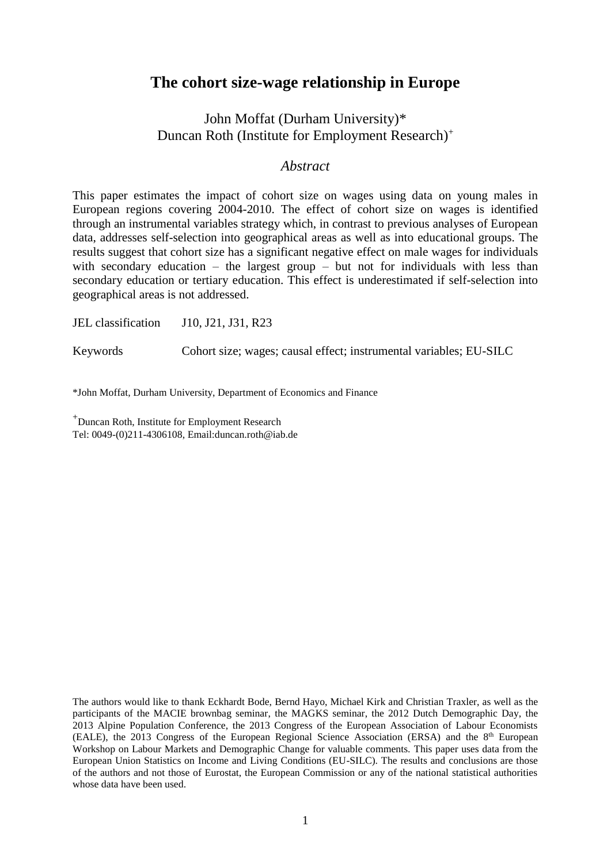## **The cohort size-wage relationship in Europe**

John Moffat (Durham University)\* Duncan Roth (Institute for Employment Research) +

### *Abstract*

This paper estimates the impact of cohort size on wages using data on young males in European regions covering 2004-2010. The effect of cohort size on wages is identified through an instrumental variables strategy which, in contrast to previous analyses of European data, addresses self-selection into geographical areas as well as into educational groups. The results suggest that cohort size has a significant negative effect on male wages for individuals with secondary education – the largest group – but not for individuals with less than secondary education or tertiary education. This effect is underestimated if self-selection into geographical areas is not addressed.

JEL classification J10, J21, J31, R23

Keywords Cohort size; wages; causal effect; instrumental variables; EU-SILC

\*John Moffat, Durham University, Department of Economics and Finance

<sup>+</sup>Duncan Roth, Institute for Employment Research Tel: 0049-(0)211-4306108, Email:duncan.roth@iab.de

The authors would like to thank Eckhardt Bode, Bernd Hayo, Michael Kirk and Christian Traxler, as well as the participants of the MACIE brownbag seminar, the MAGKS seminar, the 2012 Dutch Demographic Day, the 2013 Alpine Population Conference, the 2013 Congress of the European Association of Labour Economists  $(EALE)$ , the 2013 Congress of the European Regional Science Association (ERSA) and the  $8<sup>th</sup>$  European Workshop on Labour Markets and Demographic Change for valuable comments. This paper uses data from the European Union Statistics on Income and Living Conditions (EU-SILC). The results and conclusions are those of the authors and not those of Eurostat, the European Commission or any of the national statistical authorities whose data have been used.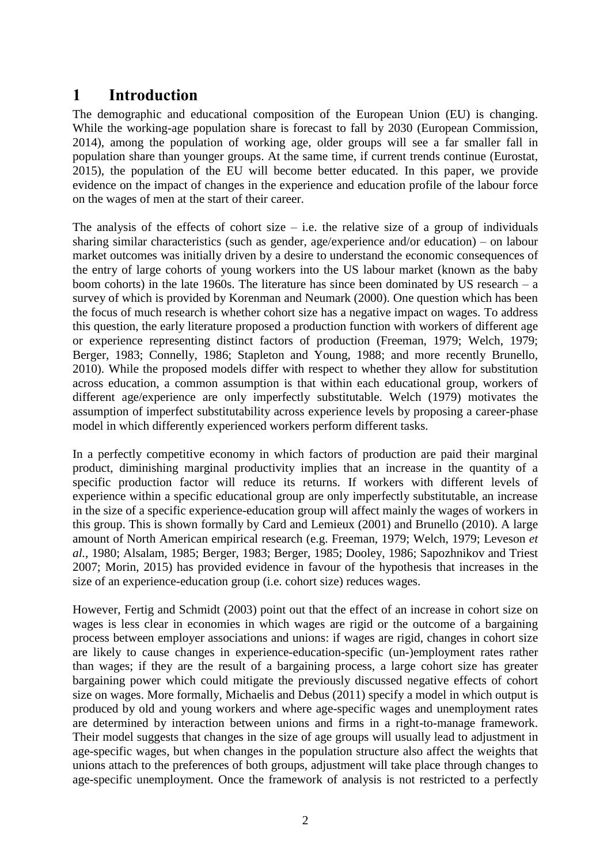## **1 Introduction**

The demographic and educational composition of the European Union (EU) is changing. While the working-age population share is forecast to fall by 2030 (European Commission, 2014), among the population of working age, older groups will see a far smaller fall in population share than younger groups. At the same time, if current trends continue (Eurostat, 2015), the population of the EU will become better educated. In this paper, we provide evidence on the impact of changes in the experience and education profile of the labour force on the wages of men at the start of their career.

The analysis of the effects of cohort size  $-$  i.e. the relative size of a group of individuals sharing similar characteristics (such as gender, age/experience and/or education) – on labour market outcomes was initially driven by a desire to understand the economic consequences of the entry of large cohorts of young workers into the US labour market (known as the baby boom cohorts) in the late 1960s. The literature has since been dominated by US research – a survey of which is provided by Korenman and Neumark (2000). One question which has been the focus of much research is whether cohort size has a negative impact on wages. To address this question, the early literature proposed a production function with workers of different age or experience representing distinct factors of production (Freeman, 1979; Welch, 1979; Berger, 1983; Connelly, 1986; Stapleton and Young, 1988; and more recently Brunello, 2010). While the proposed models differ with respect to whether they allow for substitution across education, a common assumption is that within each educational group, workers of different age/experience are only imperfectly substitutable. Welch (1979) motivates the assumption of imperfect substitutability across experience levels by proposing a career-phase model in which differently experienced workers perform different tasks.

In a perfectly competitive economy in which factors of production are paid their marginal product, diminishing marginal productivity implies that an increase in the quantity of a specific production factor will reduce its returns. If workers with different levels of experience within a specific educational group are only imperfectly substitutable, an increase in the size of a specific experience-education group will affect mainly the wages of workers in this group. This is shown formally by Card and Lemieux (2001) and Brunello (2010). A large amount of North American empirical research (e.g. Freeman, 1979; Welch, 1979; Leveson *et al.*, 1980; Alsalam, 1985; Berger, 1983; Berger, 1985; Dooley, 1986; Sapozhnikov and Triest 2007; Morin, 2015) has provided evidence in favour of the hypothesis that increases in the size of an experience-education group (i.e. cohort size) reduces wages.

However, Fertig and Schmidt (2003) point out that the effect of an increase in cohort size on wages is less clear in economies in which wages are rigid or the outcome of a bargaining process between employer associations and unions: if wages are rigid, changes in cohort size are likely to cause changes in experience-education-specific (un-)employment rates rather than wages; if they are the result of a bargaining process, a large cohort size has greater bargaining power which could mitigate the previously discussed negative effects of cohort size on wages. More formally, Michaelis and Debus (2011) specify a model in which output is produced by old and young workers and where age-specific wages and unemployment rates are determined by interaction between unions and firms in a right-to-manage framework. Their model suggests that changes in the size of age groups will usually lead to adjustment in age-specific wages, but when changes in the population structure also affect the weights that unions attach to the preferences of both groups, adjustment will take place through changes to age-specific unemployment. Once the framework of analysis is not restricted to a perfectly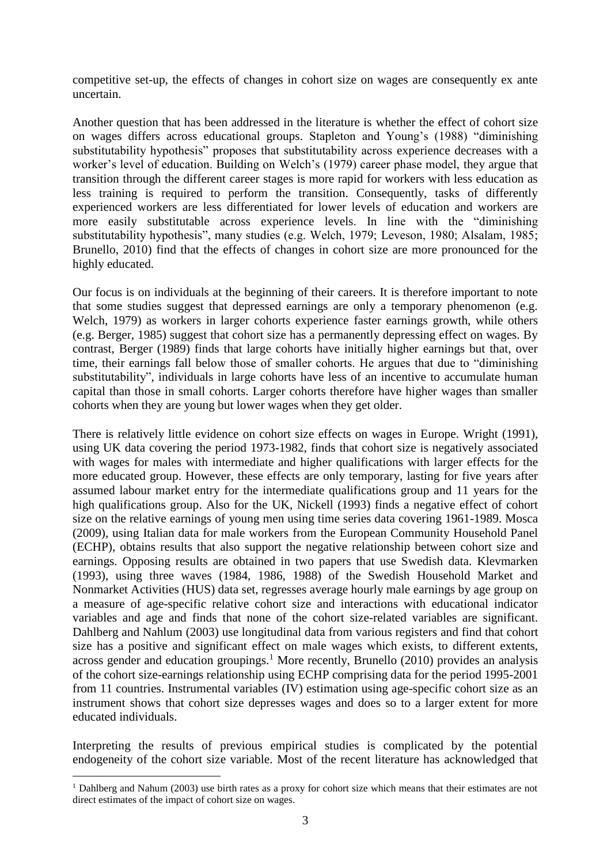competitive set-up, the effects of changes in cohort size on wages are consequently ex ante uncertain.

Another question that has been addressed in the literature is whether the effect of cohort size on wages differs across educational groups. Stapleton and Young's (1988) "diminishing substitutability hypothesis" proposes that substitutability across experience decreases with a worker's level of education. Building on Welch's (1979) career phase model, they argue that transition through the different career stages is more rapid for workers with less education as less training is required to perform the transition. Consequently, tasks of differently experienced workers are less differentiated for lower levels of education and workers are more easily substitutable across experience levels. In line with the "diminishing substitutability hypothesis", many studies (e.g. Welch, 1979; Leveson, 1980; Alsalam, 1985; Brunello, 2010) find that the effects of changes in cohort size are more pronounced for the highly educated.

Our focus is on individuals at the beginning of their careers. It is therefore important to note that some studies suggest that depressed earnings are only a temporary phenomenon (e.g. Welch, 1979) as workers in larger cohorts experience faster earnings growth, while others (e.g. Berger, 1985) suggest that cohort size has a permanently depressing effect on wages. By contrast, Berger (1989) finds that large cohorts have initially higher earnings but that, over time, their earnings fall below those of smaller cohorts. He argues that due to "diminishing substitutability", individuals in large cohorts have less of an incentive to accumulate human capital than those in small cohorts. Larger cohorts therefore have higher wages than smaller cohorts when they are young but lower wages when they get older.

There is relatively little evidence on cohort size effects on wages in Europe. Wright (1991), using UK data covering the period 1973-1982, finds that cohort size is negatively associated with wages for males with intermediate and higher qualifications with larger effects for the more educated group. However, these effects are only temporary, lasting for five years after assumed labour market entry for the intermediate qualifications group and 11 years for the high qualifications group. Also for the UK, Nickell (1993) finds a negative effect of cohort size on the relative earnings of young men using time series data covering 1961-1989. Mosca (2009), using Italian data for male workers from the European Community Household Panel (ECHP), obtains results that also support the negative relationship between cohort size and earnings. Opposing results are obtained in two papers that use Swedish data. Klevmarken (1993), using three waves (1984, 1986, 1988) of the Swedish Household Market and Nonmarket Activities (HUS) data set, regresses average hourly male earnings by age group on a measure of age-specific relative cohort size and interactions with educational indicator variables and age and finds that none of the cohort size-related variables are significant. Dahlberg and Nahlum (2003) use longitudinal data from various registers and find that cohort size has a positive and significant effect on male wages which exists, to different extents, across gender and education groupings.<sup>1</sup> More recently, Brunello  $(2010)$  provides an analysis of the cohort size-earnings relationship using ECHP comprising data for the period 1995-2001 from 11 countries. Instrumental variables (IV) estimation using age-specific cohort size as an instrument shows that cohort size depresses wages and does so to a larger extent for more educated individuals.

Interpreting the results of previous empirical studies is complicated by the potential endogeneity of the cohort size variable. Most of the recent literature has acknowledged that

1

<sup>&</sup>lt;sup>1</sup> Dahlberg and Nahum (2003) use birth rates as a proxy for cohort size which means that their estimates are not direct estimates of the impact of cohort size on wages.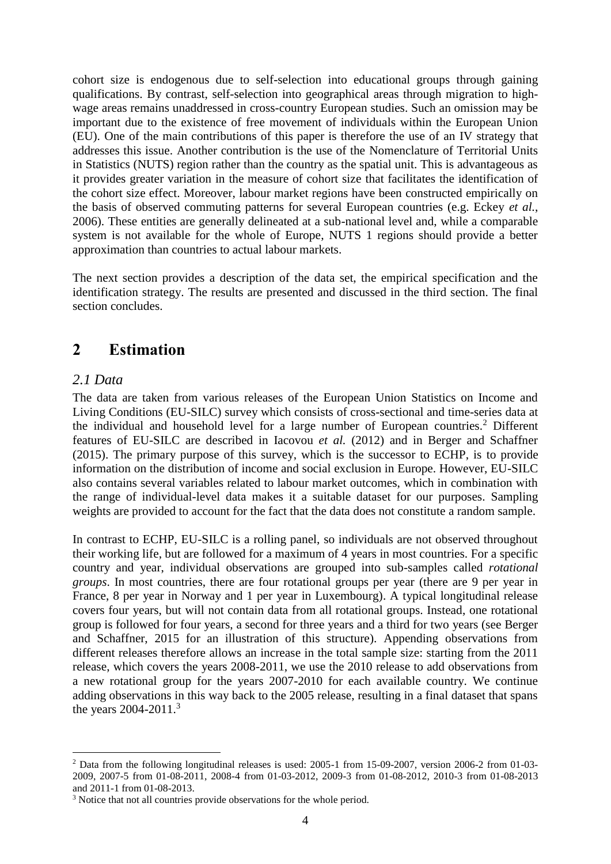cohort size is endogenous due to self-selection into educational groups through gaining qualifications. By contrast, self-selection into geographical areas through migration to highwage areas remains unaddressed in cross-country European studies. Such an omission may be important due to the existence of free movement of individuals within the European Union (EU). One of the main contributions of this paper is therefore the use of an IV strategy that addresses this issue. Another contribution is the use of the Nomenclature of Territorial Units in Statistics (NUTS) region rather than the country as the spatial unit. This is advantageous as it provides greater variation in the measure of cohort size that facilitates the identification of the cohort size effect. Moreover, labour market regions have been constructed empirically on the basis of observed commuting patterns for several European countries (e.g. Eckey *et al.*, 2006). These entities are generally delineated at a sub-national level and, while a comparable system is not available for the whole of Europe, NUTS 1 regions should provide a better approximation than countries to actual labour markets.

The next section provides a description of the data set, the empirical specification and the identification strategy. The results are presented and discussed in the third section. The final section concludes.

## **2 Estimation**

### *2.1 Data*

The data are taken from various releases of the European Union Statistics on Income and Living Conditions (EU-SILC) survey which consists of cross-sectional and time-series data at the individual and household level for a large number of European countries.<sup>2</sup> Different features of EU-SILC are described in Iacovou *et al.* (2012) and in Berger and Schaffner (2015). The primary purpose of this survey, which is the successor to ECHP, is to provide information on the distribution of income and social exclusion in Europe. However, EU-SILC also contains several variables related to labour market outcomes, which in combination with the range of individual-level data makes it a suitable dataset for our purposes. Sampling weights are provided to account for the fact that the data does not constitute a random sample.

In contrast to ECHP, EU-SILC is a rolling panel, so individuals are not observed throughout their working life, but are followed for a maximum of 4 years in most countries. For a specific country and year, individual observations are grouped into sub-samples called *rotational groups*. In most countries, there are four rotational groups per year (there are 9 per year in France, 8 per year in Norway and 1 per year in Luxembourg). A typical longitudinal release covers four years, but will not contain data from all rotational groups. Instead, one rotational group is followed for four years, a second for three years and a third for two years (see Berger and Schaffner, 2015 for an illustration of this structure). Appending observations from different releases therefore allows an increase in the total sample size: starting from the 2011 release, which covers the years 2008-2011, we use the 2010 release to add observations from a new rotational group for the years 2007-2010 for each available country. We continue adding observations in this way back to the 2005 release, resulting in a final dataset that spans the years 2004-2011.<sup>3</sup>

<sup>1</sup> <sup>2</sup> Data from the following longitudinal releases is used: 2005-1 from 15-09-2007, version 2006-2 from 01-03- 2009, 2007-5 from 01-08-2011, 2008-4 from 01-03-2012, 2009-3 from 01-08-2012, 2010-3 from 01-08-2013 and 2011-1 from 01-08-2013.

<sup>&</sup>lt;sup>3</sup> Notice that not all countries provide observations for the whole period.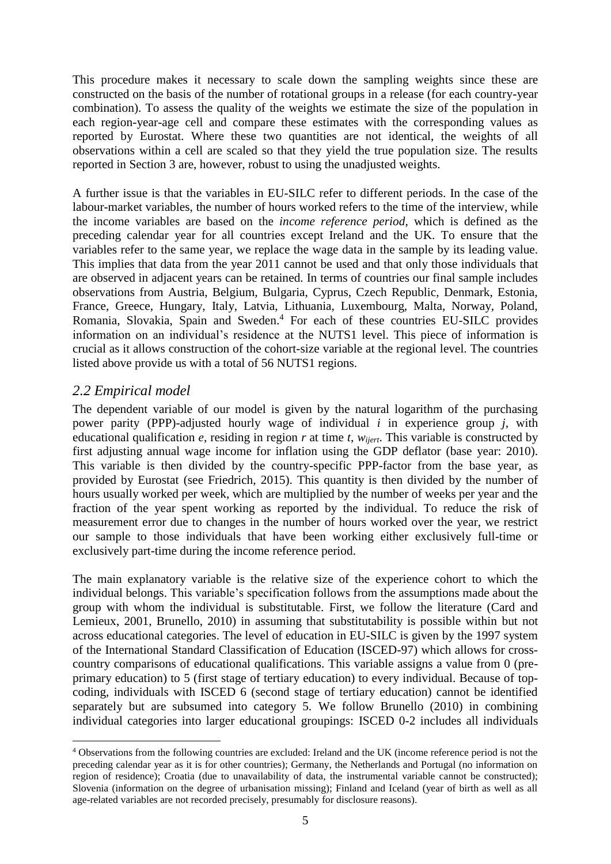This procedure makes it necessary to scale down the sampling weights since these are constructed on the basis of the number of rotational groups in a release (for each country-year combination). To assess the quality of the weights we estimate the size of the population in each region-year-age cell and compare these estimates with the corresponding values as reported by Eurostat. Where these two quantities are not identical, the weights of all observations within a cell are scaled so that they yield the true population size. The results reported in Section 3 are, however, robust to using the unadjusted weights.

A further issue is that the variables in EU-SILC refer to different periods. In the case of the labour-market variables, the number of hours worked refers to the time of the interview, while the income variables are based on the *income reference period*, which is defined as the preceding calendar year for all countries except Ireland and the UK. To ensure that the variables refer to the same year, we replace the wage data in the sample by its leading value. This implies that data from the year 2011 cannot be used and that only those individuals that are observed in adjacent years can be retained. In terms of countries our final sample includes observations from Austria, Belgium, Bulgaria, Cyprus, Czech Republic, Denmark, Estonia, France, Greece, Hungary, Italy, Latvia, Lithuania, Luxembourg, Malta, Norway, Poland, Romania, Slovakia, Spain and Sweden.<sup>4</sup> For each of these countries EU-SILC provides information on an individual's residence at the NUTS1 level. This piece of information is crucial as it allows construction of the cohort-size variable at the regional level. The countries listed above provide us with a total of 56 NUTS1 regions.

### *2.2 Empirical model*

1

The dependent variable of our model is given by the natural logarithm of the purchasing power parity (PPP)-adjusted hourly wage of individual *i* in experience group *j*, with educational qualification *e*, residing in region *r* at time *t*, *wijert*. This variable is constructed by first adjusting annual wage income for inflation using the GDP deflator (base year: 2010). This variable is then divided by the country-specific PPP-factor from the base year, as provided by Eurostat (see Friedrich, 2015). This quantity is then divided by the number of hours usually worked per week, which are multiplied by the number of weeks per year and the fraction of the year spent working as reported by the individual. To reduce the risk of measurement error due to changes in the number of hours worked over the year, we restrict our sample to those individuals that have been working either exclusively full-time or exclusively part-time during the income reference period.

The main explanatory variable is the relative size of the experience cohort to which the individual belongs. This variable's specification follows from the assumptions made about the group with whom the individual is substitutable. First, we follow the literature (Card and Lemieux, 2001, Brunello, 2010) in assuming that substitutability is possible within but not across educational categories. The level of education in EU-SILC is given by the 1997 system of the International Standard Classification of Education (ISCED-97) which allows for crosscountry comparisons of educational qualifications. This variable assigns a value from 0 (preprimary education) to 5 (first stage of tertiary education) to every individual. Because of topcoding, individuals with ISCED 6 (second stage of tertiary education) cannot be identified separately but are subsumed into category 5. We follow Brunello (2010) in combining individual categories into larger educational groupings: ISCED 0-2 includes all individuals

<sup>4</sup> Observations from the following countries are excluded: Ireland and the UK (income reference period is not the preceding calendar year as it is for other countries); Germany, the Netherlands and Portugal (no information on region of residence); Croatia (due to unavailability of data, the instrumental variable cannot be constructed); Slovenia (information on the degree of urbanisation missing); Finland and Iceland (year of birth as well as all age-related variables are not recorded precisely, presumably for disclosure reasons).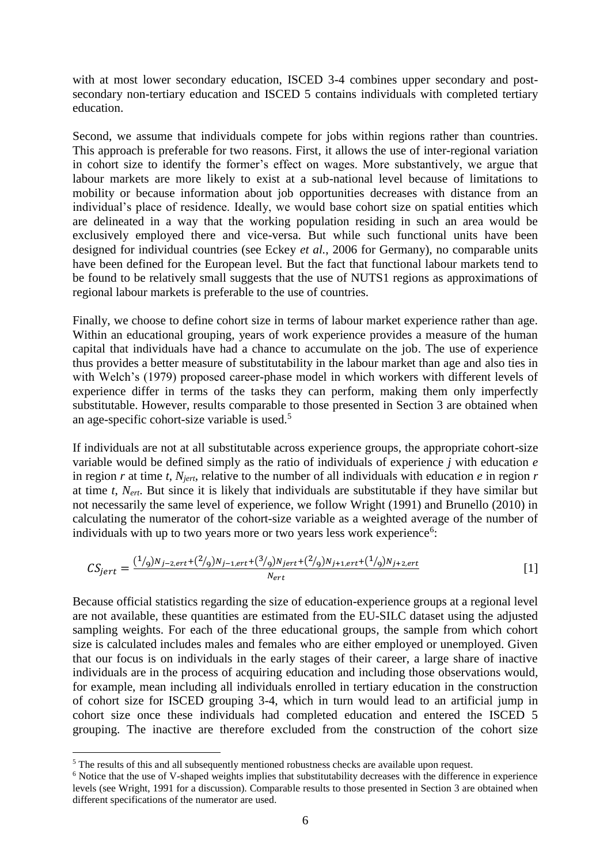with at most lower secondary education, ISCED 3-4 combines upper secondary and postsecondary non-tertiary education and ISCED 5 contains individuals with completed tertiary education.

Second, we assume that individuals compete for jobs within regions rather than countries. This approach is preferable for two reasons. First, it allows the use of inter-regional variation in cohort size to identify the former's effect on wages. More substantively, we argue that labour markets are more likely to exist at a sub-national level because of limitations to mobility or because information about job opportunities decreases with distance from an individual's place of residence. Ideally, we would base cohort size on spatial entities which are delineated in a way that the working population residing in such an area would be exclusively employed there and vice-versa. But while such functional units have been designed for individual countries (see Eckey *et al.*, 2006 for Germany), no comparable units have been defined for the European level. But the fact that functional labour markets tend to be found to be relatively small suggests that the use of NUTS1 regions as approximations of regional labour markets is preferable to the use of countries.

Finally, we choose to define cohort size in terms of labour market experience rather than age. Within an educational grouping, years of work experience provides a measure of the human capital that individuals have had a chance to accumulate on the job. The use of experience thus provides a better measure of substitutability in the labour market than age and also ties in with Welch's (1979) proposed career-phase model in which workers with different levels of experience differ in terms of the tasks they can perform, making them only imperfectly substitutable. However, results comparable to those presented in Section 3 are obtained when an age-specific cohort-size variable is used.<sup>5</sup>

If individuals are not at all substitutable across experience groups, the appropriate cohort-size variable would be defined simply as the ratio of individuals of experience *j* with education *e* in region *r* at time *t*, *Njert*, relative to the number of all individuals with education *e* in region *r* at time *t*, *Nert*. But since it is likely that individuals are substitutable if they have similar but not necessarily the same level of experience, we follow Wright (1991) and Brunello (2010) in calculating the numerator of the cohort-size variable as a weighted average of the number of individuals with up to two years more or two years less work experience<sup>6</sup>:

$$
CS_{jert} = \frac{(1/9)N_{j-2,ert} + (2/9)N_{j-1,ert} + (3/9)N_{jert} + (2/9)N_{j+1,ert} + (1/9)N_{j+2,ert}}{N_{ert}}
$$
\n[1]

Because official statistics regarding the size of education-experience groups at a regional level are not available, these quantities are estimated from the EU-SILC dataset using the adjusted sampling weights. For each of the three educational groups, the sample from which cohort size is calculated includes males and females who are either employed or unemployed. Given that our focus is on individuals in the early stages of their career, a large share of inactive individuals are in the process of acquiring education and including those observations would, for example, mean including all individuals enrolled in tertiary education in the construction of cohort size for ISCED grouping 3-4, which in turn would lead to an artificial jump in cohort size once these individuals had completed education and entered the ISCED 5 grouping. The inactive are therefore excluded from the construction of the cohort size

1

<sup>&</sup>lt;sup>5</sup> The results of this and all subsequently mentioned robustness checks are available upon request.

<sup>6</sup> Notice that the use of V-shaped weights implies that substitutability decreases with the difference in experience levels (see Wright, 1991 for a discussion). Comparable results to those presented in Section 3 are obtained when different specifications of the numerator are used.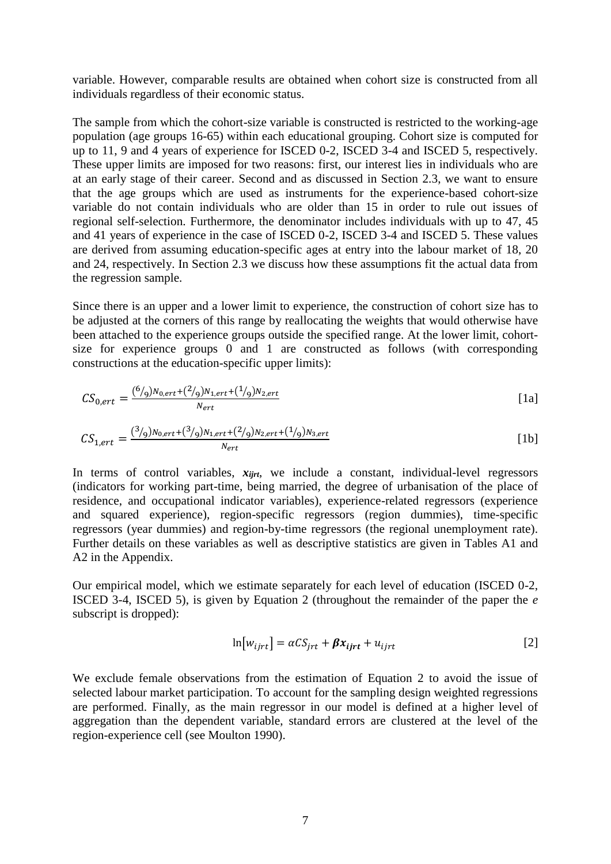variable. However, comparable results are obtained when cohort size is constructed from all individuals regardless of their economic status.

The sample from which the cohort-size variable is constructed is restricted to the working-age population (age groups 16-65) within each educational grouping. Cohort size is computed for up to 11, 9 and 4 years of experience for ISCED 0-2, ISCED 3-4 and ISCED 5, respectively. These upper limits are imposed for two reasons: first, our interest lies in individuals who are at an early stage of their career. Second and as discussed in Section 2.3, we want to ensure that the age groups which are used as instruments for the experience-based cohort-size variable do not contain individuals who are older than 15 in order to rule out issues of regional self-selection. Furthermore, the denominator includes individuals with up to 47, 45 and 41 years of experience in the case of ISCED 0-2, ISCED 3-4 and ISCED 5. These values are derived from assuming education-specific ages at entry into the labour market of 18, 20 and 24, respectively. In Section 2.3 we discuss how these assumptions fit the actual data from the regression sample.

Since there is an upper and a lower limit to experience, the construction of cohort size has to be adjusted at the corners of this range by reallocating the weights that would otherwise have been attached to the experience groups outside the specified range. At the lower limit, cohortsize for experience groups 0 and 1 are constructed as follows (with corresponding constructions at the education-specific upper limits):

$$
CS_{0,ert} = \frac{(6/9)N_{0,ert} + (2/9)N_{1,ert} + (1/9)N_{2,ert}}{N_{ert}}
$$
\n[1a]

$$
CS_{1,ert} = \frac{(\frac{3}{9})N_{0,ert} + (\frac{3}{9})N_{1,ert} + (\frac{2}{9})N_{2,ert} + (\frac{1}{9})N_{3,ert}}{N_{ert}}
$$
\n[1b]

In terms of control variables,  $x_{ijrt}$ , we include a constant, individual-level regressors (indicators for working part-time, being married, the degree of urbanisation of the place of residence, and occupational indicator variables), experience-related regressors (experience and squared experience), region-specific regressors (region dummies), time-specific regressors (year dummies) and region-by-time regressors (the regional unemployment rate). Further details on these variables as well as descriptive statistics are given in Tables A1 and A2 in the Appendix.

Our empirical model, which we estimate separately for each level of education (ISCED 0-2, ISCED 3-4, ISCED 5), is given by Equation 2 (throughout the remainder of the paper the *e* subscript is dropped):

$$
\ln[w_{ijrt}] = \alpha C S_{jrt} + \beta x_{ijrt} + u_{ijrt}
$$
 [2]

We exclude female observations from the estimation of Equation 2 to avoid the issue of selected labour market participation. To account for the sampling design weighted regressions are performed. Finally, as the main regressor in our model is defined at a higher level of aggregation than the dependent variable, standard errors are clustered at the level of the region-experience cell (see Moulton 1990).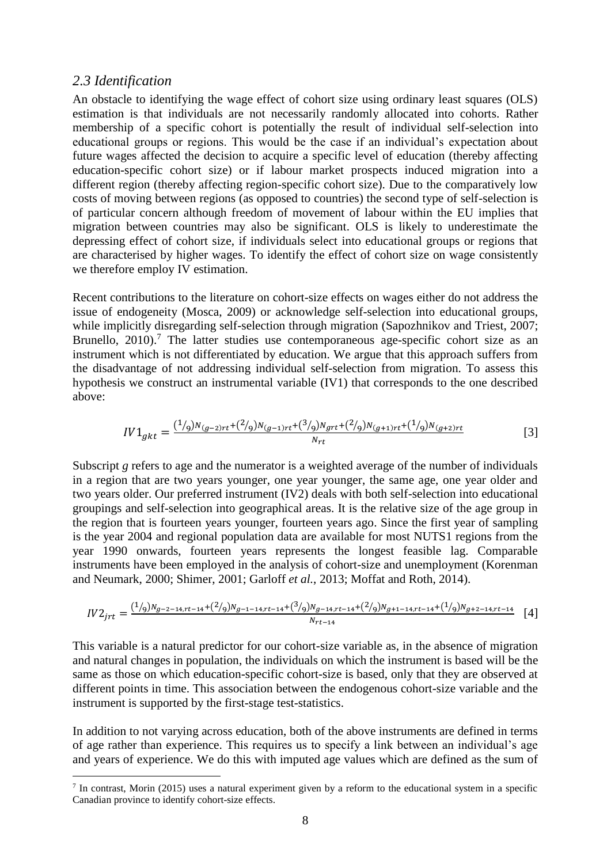### *2.3 Identification*

1

An obstacle to identifying the wage effect of cohort size using ordinary least squares (OLS) estimation is that individuals are not necessarily randomly allocated into cohorts. Rather membership of a specific cohort is potentially the result of individual self-selection into educational groups or regions. This would be the case if an individual's expectation about future wages affected the decision to acquire a specific level of education (thereby affecting education-specific cohort size) or if labour market prospects induced migration into a different region (thereby affecting region-specific cohort size). Due to the comparatively low costs of moving between regions (as opposed to countries) the second type of self-selection is of particular concern although freedom of movement of labour within the EU implies that migration between countries may also be significant. OLS is likely to underestimate the depressing effect of cohort size, if individuals select into educational groups or regions that are characterised by higher wages. To identify the effect of cohort size on wage consistently we therefore employ IV estimation.

Recent contributions to the literature on cohort-size effects on wages either do not address the issue of endogeneity (Mosca, 2009) or acknowledge self-selection into educational groups, while implicitly disregarding self-selection through migration (Sapozhnikov and Triest, 2007; Brunello,  $2010$ ).<sup>7</sup> The latter studies use contemporaneous age-specific cohort size as an instrument which is not differentiated by education. We argue that this approach suffers from the disadvantage of not addressing individual self-selection from migration. To assess this hypothesis we construct an instrumental variable (IV1) that corresponds to the one described above:

$$
IV1_{gkt} = \frac{(1/9)N_{(g-2)rt} + (2/9)N_{(g-1)rt} + (3/9)N_{grt} + (2/9)N_{(g+1)rt} + (1/9)N_{(g+2)rt}}{N_{rt}}
$$
\n
$$
\tag{3}
$$

Subscript *g* refers to age and the numerator is a weighted average of the number of individuals in a region that are two years younger, one year younger, the same age, one year older and two years older. Our preferred instrument (IV2) deals with both self-selection into educational groupings and self-selection into geographical areas. It is the relative size of the age group in the region that is fourteen years younger, fourteen years ago. Since the first year of sampling is the year 2004 and regional population data are available for most NUTS1 regions from the year 1990 onwards, fourteen years represents the longest feasible lag. Comparable instruments have been employed in the analysis of cohort-size and unemployment (Korenman and Neumark, 2000; Shimer, 2001; Garloff *et al.*, 2013; Moffat and Roth, 2014).

$$
IV2_{jrt} = \frac{(1/9)N_{g-2-14,rt-14} + (2/9)N_{g-1-14,rt-14} + (3/9)N_{g-14,rt-14} + (2/9)N_{g+1-14,rt-14} + (1/9)N_{g+2-14,rt-14}}{N_{rt-14}}
$$
 [4]

This variable is a natural predictor for our cohort-size variable as, in the absence of migration and natural changes in population, the individuals on which the instrument is based will be the same as those on which education-specific cohort-size is based, only that they are observed at different points in time. This association between the endogenous cohort-size variable and the instrument is supported by the first-stage test-statistics.

In addition to not varying across education, both of the above instruments are defined in terms of age rather than experience. This requires us to specify a link between an individual's age and years of experience. We do this with imputed age values which are defined as the sum of

 $<sup>7</sup>$  In contrast, Morin (2015) uses a natural experiment given by a reform to the educational system in a specific</sup> Canadian province to identify cohort-size effects.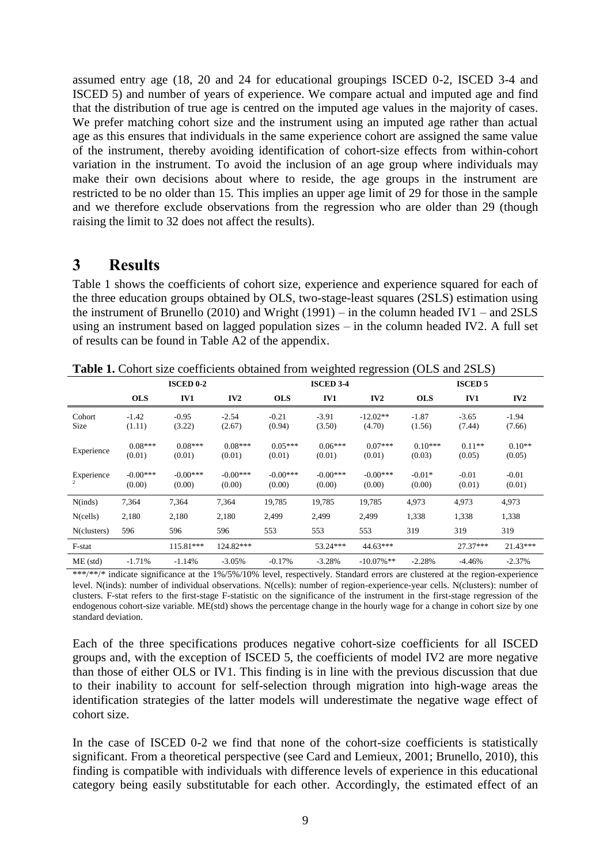assumed entry age (18, 20 and 24 for educational groupings ISCED 0-2, ISCED 3-4 and ISCED 5) and number of years of experience. We compare actual and imputed age and find that the distribution of true age is centred on the imputed age values in the majority of cases. We prefer matching cohort size and the instrument using an imputed age rather than actual age as this ensures that individuals in the same experience cohort are assigned the same value of the instrument, thereby avoiding identification of cohort-size effects from within-cohort variation in the instrument. To avoid the inclusion of an age group where individuals may make their own decisions about where to reside, the age groups in the instrument are restricted to be no older than 15. This implies an upper age limit of 29 for those in the sample and we therefore exclude observations from the regression who are older than 29 (though raising the limit to 32 does not affect the results).

### **3 Results**

Table 1 shows the coefficients of cohort size, experience and experience squared for each of the three education groups obtained by OLS, two-stage-least squares (2SLS) estimation using the instrument of Brunello (2010) and Wright (1991) – in the column headed IV1 – and 2SLS using an instrument based on lagged population sizes – in the column headed IV2. A full set of results can be found in Table A2 of the appendix.

|                | <b>ISCED 0-2</b>     |                      |                      |                      | <b>ISCED 3-4</b>     |                      | <b>ISCED 5</b>      |                    |                    |  |
|----------------|----------------------|----------------------|----------------------|----------------------|----------------------|----------------------|---------------------|--------------------|--------------------|--|
|                | <b>OLS</b>           | IV1                  | IV2                  | <b>OLS</b>           | <b>IV1</b>           | IV2                  | <b>OLS</b>          | IV1                | IV2                |  |
| Cohort<br>Size | $-1.42$<br>(1.11)    | $-0.95$<br>(3.22)    | $-2.54$<br>(2.67)    | $-0.21$<br>(0.94)    | $-3.91$<br>(3.50)    | $-12.02**$<br>(4.70) | $-1.87$<br>(1.56)   | $-3.65$<br>(7.44)  | $-1.94$<br>(7.66)  |  |
| Experience     | $0.08***$<br>(0.01)  | $0.08***$<br>(0.01)  | $0.08***$<br>(0.01)  | $0.05***$<br>(0.01)  | $0.06***$<br>(0.01)  | $0.07***$<br>(0.01)  | $0.10***$<br>(0.03) | $0.11**$<br>(0.05) | $0.10**$<br>(0.05) |  |
| Experience     | $-0.00***$<br>(0.00) | $-0.00***$<br>(0.00) | $-0.00***$<br>(0.00) | $-0.00***$<br>(0.00) | $-0.00***$<br>(0.00) | $-0.00***$<br>(0.00) | $-0.01*$<br>(0.00)  | $-0.01$<br>(0.01)  | $-0.01$<br>(0.01)  |  |
| N(inds)        | 7,364                | 7,364                | 7,364                | 19,785               | 19,785               | 19,785               | 4,973               | 4,973              | 4,973              |  |
| N(cells)       | 2,180                | 2,180                | 2,180                | 2,499                | 2,499                | 2,499                | 1,338               | 1,338              | 1,338              |  |
| N(clusters)    | 596                  | 596                  | 596                  | 553                  | 553                  | 553                  | 319                 | 319                | 319                |  |
| F-stat         |                      | 115.81***            | 124.82***            |                      | $53.24***$           | $44.63***$           |                     | $27.37***$         | $21.43***$         |  |
| $ME$ (std)     | $-1.71%$             | $-1.14%$             | $-3.05%$             | $-0.17%$             | $-3.28%$             | $-10.07\%$ **        | $-2.28%$            | $-4.46%$           | $-2.37%$           |  |

**Table 1.** Cohort size coefficients obtained from weighted regression (OLS and 2SLS)

\*\*\*/\*\*/\* indicate significance at the 1%/5%/10% level, respectively. Standard errors are clustered at the region-experience level. N(inds): number of individual observations. N(cells): number of region-experience-year cells. N(clusters): number of clusters. F-stat refers to the first-stage F-statistic on the significance of the instrument in the first-stage regression of the endogenous cohort-size variable. ME(std) shows the percentage change in the hourly wage for a change in cohort size by one standard deviation.

Each of the three specifications produces negative cohort-size coefficients for all ISCED groups and, with the exception of ISCED 5, the coefficients of model IV2 are more negative than those of either OLS or IV1. This finding is in line with the previous discussion that due to their inability to account for self-selection through migration into high-wage areas the identification strategies of the latter models will underestimate the negative wage effect of cohort size.

In the case of ISCED 0-2 we find that none of the cohort-size coefficients is statistically significant. From a theoretical perspective (see Card and Lemieux, 2001; Brunello, 2010), this finding is compatible with individuals with difference levels of experience in this educational category being easily substitutable for each other. Accordingly, the estimated effect of an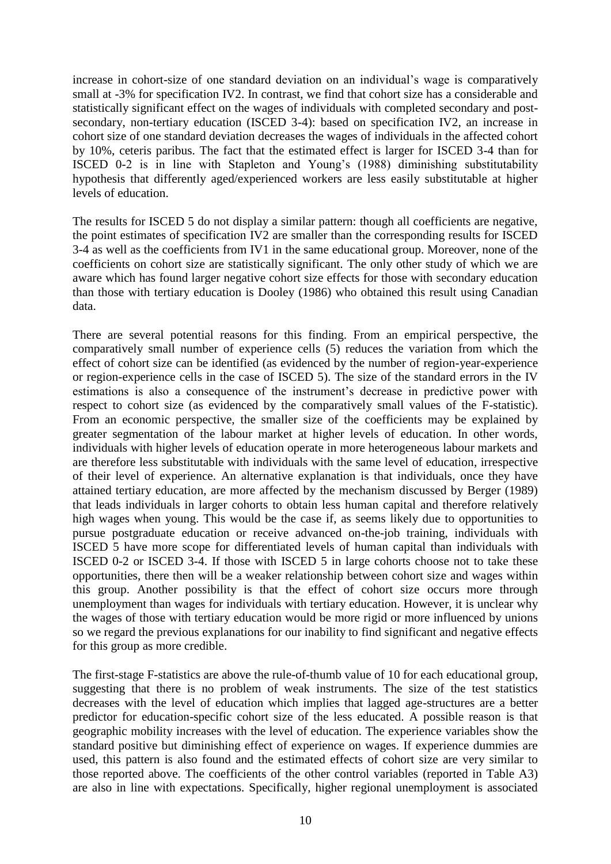increase in cohort-size of one standard deviation on an individual's wage is comparatively small at -3% for specification IV2. In contrast, we find that cohort size has a considerable and statistically significant effect on the wages of individuals with completed secondary and postsecondary, non-tertiary education (ISCED 3-4): based on specification IV2, an increase in cohort size of one standard deviation decreases the wages of individuals in the affected cohort by 10%, ceteris paribus. The fact that the estimated effect is larger for ISCED 3-4 than for ISCED 0-2 is in line with Stapleton and Young's (1988) diminishing substitutability hypothesis that differently aged/experienced workers are less easily substitutable at higher levels of education.

The results for ISCED 5 do not display a similar pattern: though all coefficients are negative, the point estimates of specification IV2 are smaller than the corresponding results for ISCED 3-4 as well as the coefficients from IV1 in the same educational group. Moreover, none of the coefficients on cohort size are statistically significant. The only other study of which we are aware which has found larger negative cohort size effects for those with secondary education than those with tertiary education is Dooley (1986) who obtained this result using Canadian data.

There are several potential reasons for this finding. From an empirical perspective, the comparatively small number of experience cells (5) reduces the variation from which the effect of cohort size can be identified (as evidenced by the number of region-year-experience or region-experience cells in the case of ISCED 5). The size of the standard errors in the IV estimations is also a consequence of the instrument's decrease in predictive power with respect to cohort size (as evidenced by the comparatively small values of the F-statistic). From an economic perspective, the smaller size of the coefficients may be explained by greater segmentation of the labour market at higher levels of education. In other words, individuals with higher levels of education operate in more heterogeneous labour markets and are therefore less substitutable with individuals with the same level of education, irrespective of their level of experience. An alternative explanation is that individuals, once they have attained tertiary education, are more affected by the mechanism discussed by Berger (1989) that leads individuals in larger cohorts to obtain less human capital and therefore relatively high wages when young. This would be the case if, as seems likely due to opportunities to pursue postgraduate education or receive advanced on-the-job training, individuals with ISCED 5 have more scope for differentiated levels of human capital than individuals with ISCED 0-2 or ISCED 3-4. If those with ISCED 5 in large cohorts choose not to take these opportunities, there then will be a weaker relationship between cohort size and wages within this group. Another possibility is that the effect of cohort size occurs more through unemployment than wages for individuals with tertiary education. However, it is unclear why the wages of those with tertiary education would be more rigid or more influenced by unions so we regard the previous explanations for our inability to find significant and negative effects for this group as more credible.

The first-stage F-statistics are above the rule-of-thumb value of 10 for each educational group, suggesting that there is no problem of weak instruments. The size of the test statistics decreases with the level of education which implies that lagged age-structures are a better predictor for education-specific cohort size of the less educated. A possible reason is that geographic mobility increases with the level of education. The experience variables show the standard positive but diminishing effect of experience on wages. If experience dummies are used, this pattern is also found and the estimated effects of cohort size are very similar to those reported above. The coefficients of the other control variables (reported in Table A3) are also in line with expectations. Specifically, higher regional unemployment is associated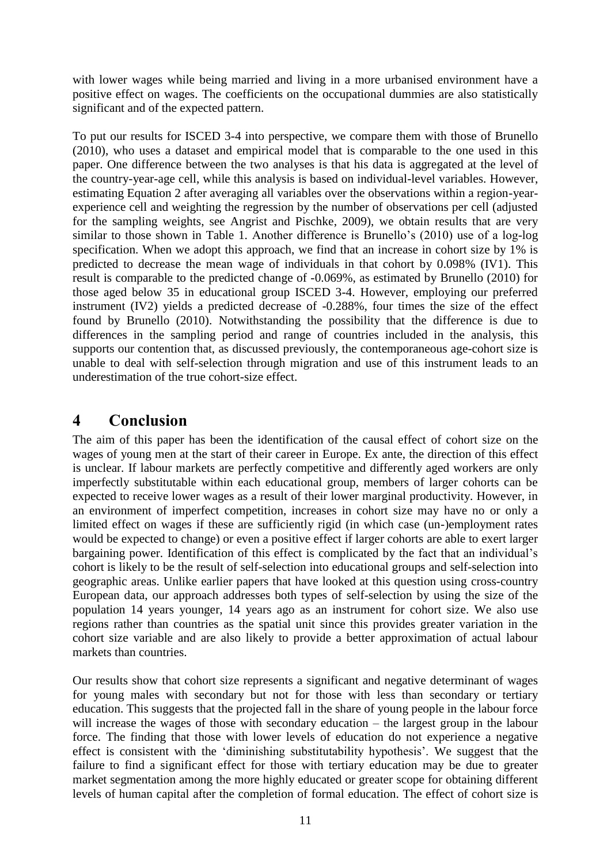with lower wages while being married and living in a more urbanised environment have a positive effect on wages. The coefficients on the occupational dummies are also statistically significant and of the expected pattern.

To put our results for ISCED 3-4 into perspective, we compare them with those of Brunello (2010), who uses a dataset and empirical model that is comparable to the one used in this paper. One difference between the two analyses is that his data is aggregated at the level of the country-year-age cell, while this analysis is based on individual-level variables. However, estimating Equation 2 after averaging all variables over the observations within a region-yearexperience cell and weighting the regression by the number of observations per cell (adjusted for the sampling weights, see Angrist and Pischke, 2009), we obtain results that are very similar to those shown in Table 1. Another difference is Brunello's (2010) use of a log-log specification. When we adopt this approach, we find that an increase in cohort size by 1% is predicted to decrease the mean wage of individuals in that cohort by 0.098% (IV1). This result is comparable to the predicted change of -0.069%, as estimated by Brunello (2010) for those aged below 35 in educational group ISCED 3-4. However, employing our preferred instrument (IV2) yields a predicted decrease of -0.288%, four times the size of the effect found by Brunello (2010). Notwithstanding the possibility that the difference is due to differences in the sampling period and range of countries included in the analysis, this supports our contention that, as discussed previously, the contemporaneous age-cohort size is unable to deal with self-selection through migration and use of this instrument leads to an underestimation of the true cohort-size effect.

## **4 Conclusion**

The aim of this paper has been the identification of the causal effect of cohort size on the wages of young men at the start of their career in Europe. Ex ante, the direction of this effect is unclear. If labour markets are perfectly competitive and differently aged workers are only imperfectly substitutable within each educational group, members of larger cohorts can be expected to receive lower wages as a result of their lower marginal productivity. However, in an environment of imperfect competition, increases in cohort size may have no or only a limited effect on wages if these are sufficiently rigid (in which case (un-)employment rates would be expected to change) or even a positive effect if larger cohorts are able to exert larger bargaining power. Identification of this effect is complicated by the fact that an individual's cohort is likely to be the result of self-selection into educational groups and self-selection into geographic areas. Unlike earlier papers that have looked at this question using cross-country European data, our approach addresses both types of self-selection by using the size of the population 14 years younger, 14 years ago as an instrument for cohort size. We also use regions rather than countries as the spatial unit since this provides greater variation in the cohort size variable and are also likely to provide a better approximation of actual labour markets than countries.

Our results show that cohort size represents a significant and negative determinant of wages for young males with secondary but not for those with less than secondary or tertiary education. This suggests that the projected fall in the share of young people in the labour force will increase the wages of those with secondary education – the largest group in the labour force. The finding that those with lower levels of education do not experience a negative effect is consistent with the 'diminishing substitutability hypothesis'. We suggest that the failure to find a significant effect for those with tertiary education may be due to greater market segmentation among the more highly educated or greater scope for obtaining different levels of human capital after the completion of formal education. The effect of cohort size is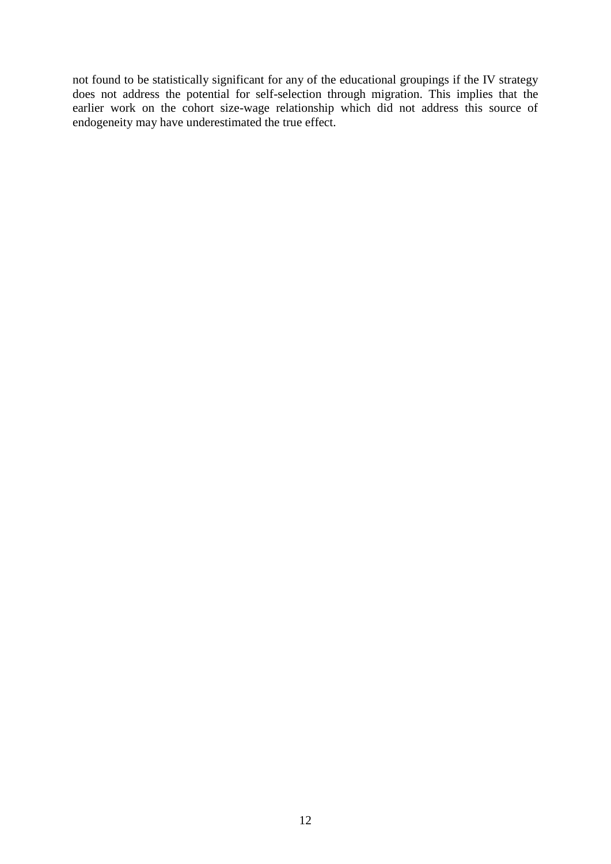not found to be statistically significant for any of the educational groupings if the IV strategy does not address the potential for self-selection through migration. This implies that the earlier work on the cohort size-wage relationship which did not address this source of endogeneity may have underestimated the true effect.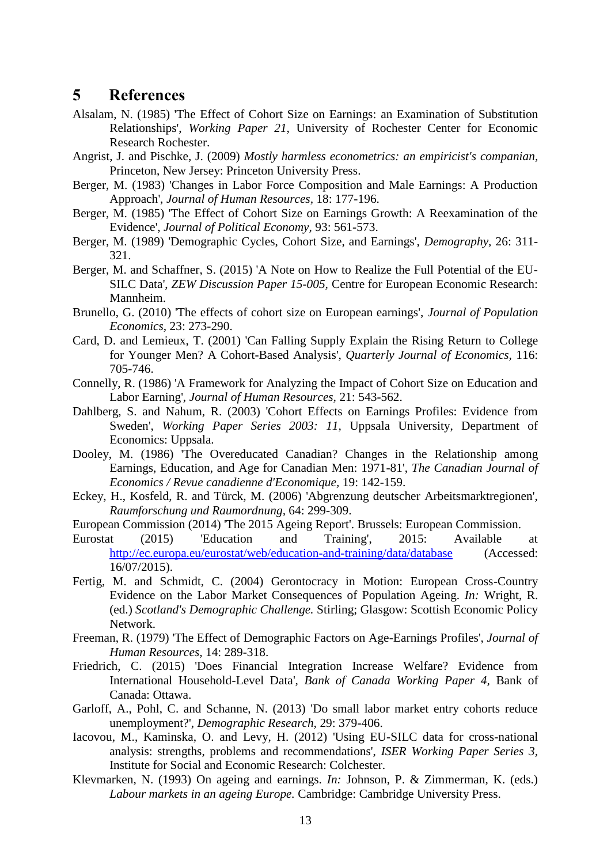## **5 References**

- Alsalam, N. (1985) 'The Effect of Cohort Size on Earnings: an Examination of Substitution Relationships', *Working Paper 21,* University of Rochester Center for Economic Research Rochester.
- Angrist, J. and Pischke, J. (2009) *Mostly harmless econometrics: an empiricist's companian,*  Princeton, New Jersey: Princeton University Press.
- Berger, M. (1983) 'Changes in Labor Force Composition and Male Earnings: A Production Approach', *Journal of Human Resources,* 18: 177-196.
- Berger, M. (1985) 'The Effect of Cohort Size on Earnings Growth: A Reexamination of the Evidence', *Journal of Political Economy,* 93: 561-573.
- Berger, M. (1989) 'Demographic Cycles, Cohort Size, and Earnings', *Demography,* 26: 311- 321.
- Berger, M. and Schaffner, S. (2015) 'A Note on How to Realize the Full Potential of the EU-SILC Data', *ZEW Discussion Paper 15-005,* Centre for European Economic Research: Mannheim.
- Brunello, G. (2010) 'The effects of cohort size on European earnings', *Journal of Population Economics,* 23: 273-290.
- Card, D. and Lemieux, T. (2001) 'Can Falling Supply Explain the Rising Return to College for Younger Men? A Cohort-Based Analysis', *Quarterly Journal of Economics,* 116: 705-746.
- Connelly, R. (1986) 'A Framework for Analyzing the Impact of Cohort Size on Education and Labor Earning', *Journal of Human Resources,* 21: 543-562.
- Dahlberg, S. and Nahum, R. (2003) 'Cohort Effects on Earnings Profiles: Evidence from Sweden', *Working Paper Series 2003: 11,* Uppsala University, Department of Economics: Uppsala.
- Dooley, M. (1986) 'The Overeducated Canadian? Changes in the Relationship among Earnings, Education, and Age for Canadian Men: 1971-81', *The Canadian Journal of Economics / Revue canadienne d'Economique,* 19: 142-159.
- Eckey, H., Kosfeld, R. and Türck, M. (2006) 'Abgrenzung deutscher Arbeitsmarktregionen', *Raumforschung und Raumordnung,* 64: 299-309.
- European Commission (2014) 'The 2015 Ageing Report'. Brussels: European Commission.
- Eurostat (2015) 'Education and Training', 2015: Available at <http://ec.europa.eu/eurostat/web/education-and-training/data/database> (Accessed: 16/07/2015).
- Fertig, M. and Schmidt, C. (2004) Gerontocracy in Motion: European Cross-Country Evidence on the Labor Market Consequences of Population Ageing. *In:* Wright, R. (ed.) *Scotland's Demographic Challenge.* Stirling; Glasgow: Scottish Economic Policy Network.
- Freeman, R. (1979) 'The Effect of Demographic Factors on Age-Earnings Profiles', *Journal of Human Resources,* 14: 289-318.
- Friedrich, C. (2015) 'Does Financial Integration Increase Welfare? Evidence from International Household-Level Data', *Bank of Canada Working Paper 4,* Bank of Canada: Ottawa.
- Garloff, A., Pohl, C. and Schanne, N. (2013) 'Do small labor market entry cohorts reduce unemployment?', *Demographic Research,* 29: 379-406.
- Iacovou, M., Kaminska, O. and Levy, H. (2012) 'Using EU-SILC data for cross-national analysis: strengths, problems and recommendations', *ISER Working Paper Series 3,* Institute for Social and Economic Research: Colchester.
- Klevmarken, N. (1993) On ageing and earnings. *In:* Johnson, P. & Zimmerman, K. (eds.) *Labour markets in an ageing Europe.* Cambridge: Cambridge University Press.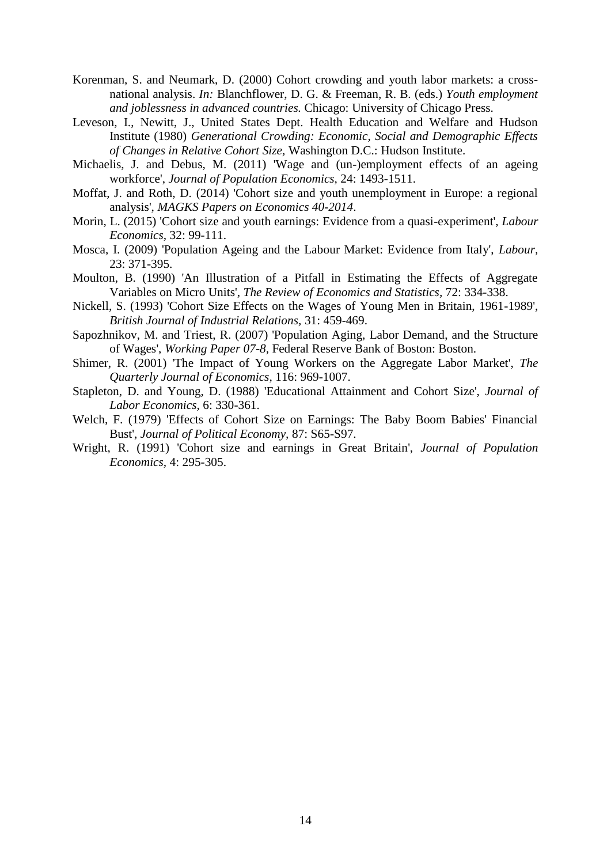- Korenman, S. and Neumark, D. (2000) Cohort crowding and youth labor markets: a crossnational analysis. *In:* Blanchflower, D. G. & Freeman, R. B. (eds.) *Youth employment and joblessness in advanced countries.* Chicago: University of Chicago Press.
- Leveson, I., Newitt, J., United States Dept. Health Education and Welfare and Hudson Institute (1980) *Generational Crowding: Economic, Social and Demographic Effects of Changes in Relative Cohort Size,* Washington D.C.: Hudson Institute.
- Michaelis, J. and Debus, M. (2011) 'Wage and (un-)employment effects of an ageing workforce', *Journal of Population Economics,* 24: 1493-1511.
- Moffat, J. and Roth, D. (2014) 'Cohort size and youth unemployment in Europe: a regional analysis', *MAGKS Papers on Economics 40-2014*.
- Morin, L. (2015) 'Cohort size and youth earnings: Evidence from a quasi-experiment', *Labour Economics,* 32: 99-111.
- Mosca, I. (2009) 'Population Ageing and the Labour Market: Evidence from Italy', *Labour,* 23: 371-395.
- Moulton, B. (1990) 'An Illustration of a Pitfall in Estimating the Effects of Aggregate Variables on Micro Units', *The Review of Economics and Statistics,* 72: 334-338.
- Nickell, S. (1993) 'Cohort Size Effects on the Wages of Young Men in Britain, 1961-1989', *British Journal of Industrial Relations,* 31: 459-469.
- Sapozhnikov, M. and Triest, R. (2007) 'Population Aging, Labor Demand, and the Structure of Wages', *Working Paper 07-8,* Federal Reserve Bank of Boston: Boston.
- Shimer, R. (2001) 'The Impact of Young Workers on the Aggregate Labor Market', *The Quarterly Journal of Economics,* 116: 969-1007.
- Stapleton, D. and Young, D. (1988) 'Educational Attainment and Cohort Size', *Journal of Labor Economics,* 6: 330-361.
- Welch, F. (1979) 'Effects of Cohort Size on Earnings: The Baby Boom Babies' Financial Bust', *Journal of Political Economy,* 87: S65-S97.
- Wright, R. (1991) 'Cohort size and earnings in Great Britain', *Journal of Population Economics,* 4: 295-305.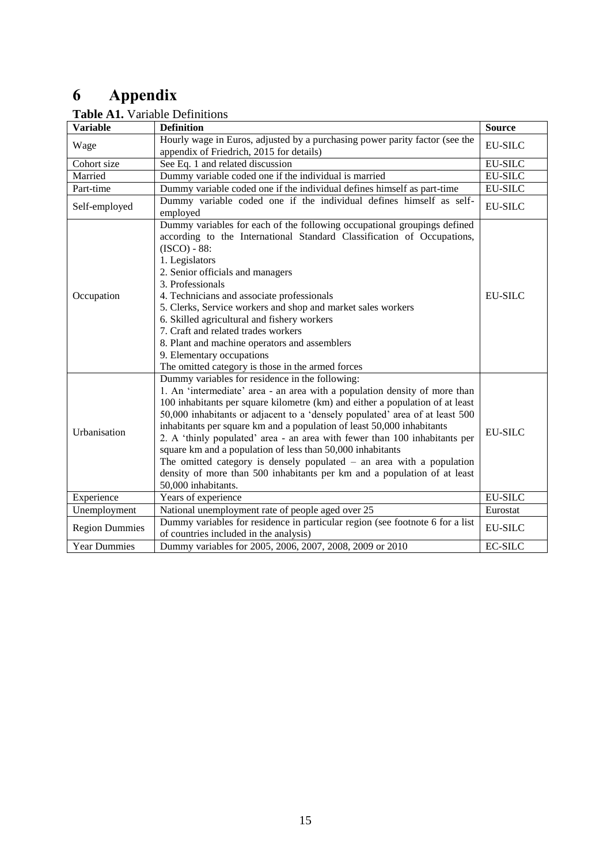# **6 Appendix**

| <b>Variable</b>       | <b>Definition</b>                                                                                                                                                                                                                                                                                                                                                                                                                                                                                                                                                                                                                                                                                  | <b>Source</b>  |
|-----------------------|----------------------------------------------------------------------------------------------------------------------------------------------------------------------------------------------------------------------------------------------------------------------------------------------------------------------------------------------------------------------------------------------------------------------------------------------------------------------------------------------------------------------------------------------------------------------------------------------------------------------------------------------------------------------------------------------------|----------------|
| Wage                  | Hourly wage in Euros, adjusted by a purchasing power parity factor (see the<br>appendix of Friedrich, 2015 for details)                                                                                                                                                                                                                                                                                                                                                                                                                                                                                                                                                                            | <b>EU-SILC</b> |
| Cohort size           | See Eq. 1 and related discussion                                                                                                                                                                                                                                                                                                                                                                                                                                                                                                                                                                                                                                                                   | <b>EU-SILC</b> |
| Married               | Dummy variable coded one if the individual is married                                                                                                                                                                                                                                                                                                                                                                                                                                                                                                                                                                                                                                              | <b>EU-SILC</b> |
| Part-time             | Dummy variable coded one if the individual defines himself as part-time                                                                                                                                                                                                                                                                                                                                                                                                                                                                                                                                                                                                                            | <b>EU-SILC</b> |
| Self-employed         | Dummy variable coded one if the individual defines himself as self-<br>employed                                                                                                                                                                                                                                                                                                                                                                                                                                                                                                                                                                                                                    | <b>EU-SILC</b> |
| Occupation            | Dummy variables for each of the following occupational groupings defined<br>according to the International Standard Classification of Occupations,<br>$(ISCO) - 88$ :<br>1. Legislators<br>2. Senior officials and managers<br>3. Professionals<br>4. Technicians and associate professionals<br>5. Clerks, Service workers and shop and market sales workers<br>6. Skilled agricultural and fishery workers<br>7. Craft and related trades workers<br>8. Plant and machine operators and assemblers<br>9. Elementary occupations<br>The omitted category is those in the armed forces                                                                                                             | EU-SILC        |
| Urbanisation          | Dummy variables for residence in the following:<br>1. An 'intermediate' area - an area with a population density of more than<br>100 inhabitants per square kilometre (km) and either a population of at least<br>50,000 inhabitants or adjacent to a 'densely populated' area of at least 500<br>inhabitants per square km and a population of least 50,000 inhabitants<br>2. A 'thinly populated' area - an area with fewer than 100 inhabitants per<br>square km and a population of less than 50,000 inhabitants<br>The omitted category is densely populated $-$ an area with a population<br>density of more than 500 inhabitants per km and a population of at least<br>50,000 inhabitants. | EU-SILC        |
| Experience            | Years of experience                                                                                                                                                                                                                                                                                                                                                                                                                                                                                                                                                                                                                                                                                | <b>EU-SILC</b> |
| Unemployment          | National unemployment rate of people aged over 25                                                                                                                                                                                                                                                                                                                                                                                                                                                                                                                                                                                                                                                  | Eurostat       |
| <b>Region Dummies</b> | Dummy variables for residence in particular region (see footnote 6 for a list<br>of countries included in the analysis)                                                                                                                                                                                                                                                                                                                                                                                                                                                                                                                                                                            | <b>EU-SILC</b> |
| <b>Year Dummies</b>   | Dummy variables for 2005, 2006, 2007, 2008, 2009 or 2010                                                                                                                                                                                                                                                                                                                                                                                                                                                                                                                                                                                                                                           | <b>EC-SILC</b> |

## **Table A1.** Variable Definitions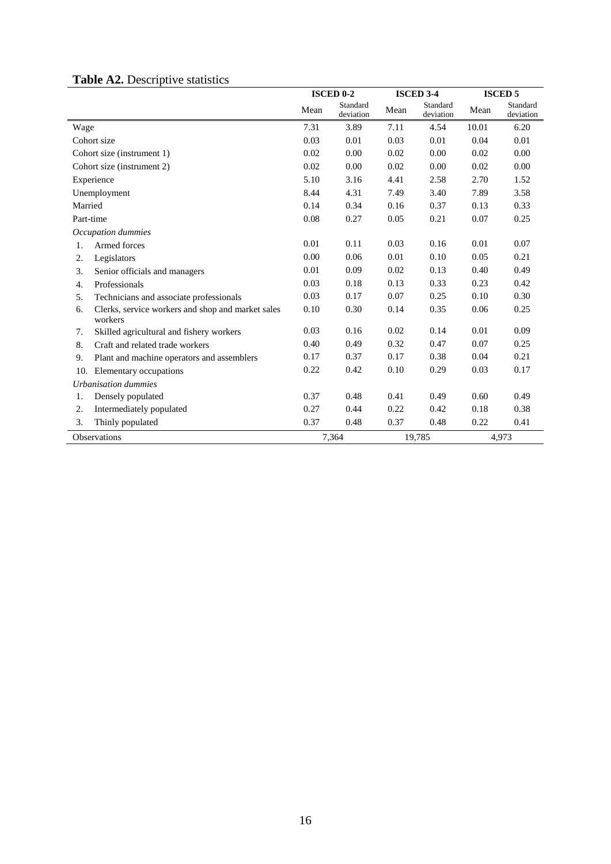## **Table A2.** Descriptive statistics

|                            |                                                              | <b>ISCED 0-2</b> |                       | <b>ISCED 3-4</b> |                       | <b>ISCED 5</b> |                       |
|----------------------------|--------------------------------------------------------------|------------------|-----------------------|------------------|-----------------------|----------------|-----------------------|
|                            |                                                              | Mean             | Standard<br>deviation | Mean             | Standard<br>deviation | Mean           | Standard<br>deviation |
| Wage                       |                                                              | 7.31             | 3.89                  | 7.11             | 4.54                  | 10.01          | 6.20                  |
| Cohort size                |                                                              | 0.03             | 0.01                  | 0.03             | 0.01                  | 0.04           | 0.01                  |
| Cohort size (instrument 1) |                                                              | 0.02             | 0.00                  | 0.02             | 0.00                  | 0.02           | 0.00                  |
| Cohort size (instrument 2) |                                                              | 0.02             | 0.00                  | 0.02             | 0.00                  | 0.02           | 0.00                  |
| Experience                 |                                                              | 5.10             | 3.16                  | 4.41             | 2.58                  | 2.70           | 1.52                  |
| Unemployment               |                                                              | 8.44             | 4.31                  | 7.49             | 3.40                  | 7.89           | 3.58                  |
| Married                    |                                                              | 0.14             | 0.34                  | 0.16             | 0.37                  | 0.13           | 0.33                  |
| Part-time                  |                                                              | 0.08             | 0.27                  | 0.05             | 0.21                  | 0.07           | 0.25                  |
|                            | Occupation dummies                                           |                  |                       |                  |                       |                |                       |
| 1.                         | Armed forces                                                 | 0.01             | 0.11                  | 0.03             | 0.16                  | 0.01           | 0.07                  |
| 2.                         | Legislators                                                  | 0.00             | 0.06                  | 0.01             | 0.10                  | 0.05           | 0.21                  |
| 3.                         | Senior officials and managers                                | 0.01             | 0.09                  | 0.02             | 0.13                  | 0.40           | 0.49                  |
| 4.                         | Professionals                                                | 0.03             | 0.18                  | 0.13             | 0.33                  | 0.23           | 0.42                  |
| 5.                         | Technicians and associate professionals                      | 0.03             | 0.17                  | 0.07             | 0.25                  | 0.10           | 0.30                  |
| 6.                         | Clerks, service workers and shop and market sales<br>workers | 0.10             | 0.30                  | 0.14             | 0.35                  | 0.06           | 0.25                  |
| 7.                         | Skilled agricultural and fishery workers                     | 0.03             | 0.16                  | 0.02             | 0.14                  | 0.01           | 0.09                  |
| 8.                         | Craft and related trade workers                              | 0.40             | 0.49                  | 0.32             | 0.47                  | 0.07           | 0.25                  |
| 9.                         | Plant and machine operators and assemblers                   | 0.17             | 0.37                  | 0.17             | 0.38                  | 0.04           | 0.21                  |
| 10.                        | Elementary occupations                                       | 0.22             | 0.42                  | 0.10             | 0.29                  | 0.03           | 0.17                  |
| Urbanisation dummies       |                                                              |                  |                       |                  |                       |                |                       |
| 1.                         | Densely populated                                            | 0.37             | 0.48                  | 0.41             | 0.49                  | 0.60           | 0.49                  |
| 2.                         | Intermediately populated                                     | 0.27             | 0.44                  | 0.22             | 0.42                  | 0.18           | 0.38                  |
| 3.                         | Thinly populated                                             | 0.37             | 0.48                  | 0.37             | 0.48                  | 0.22           | 0.41                  |
| <b>Observations</b>        |                                                              | 7,364            |                       | 19,785           |                       | 4,973          |                       |